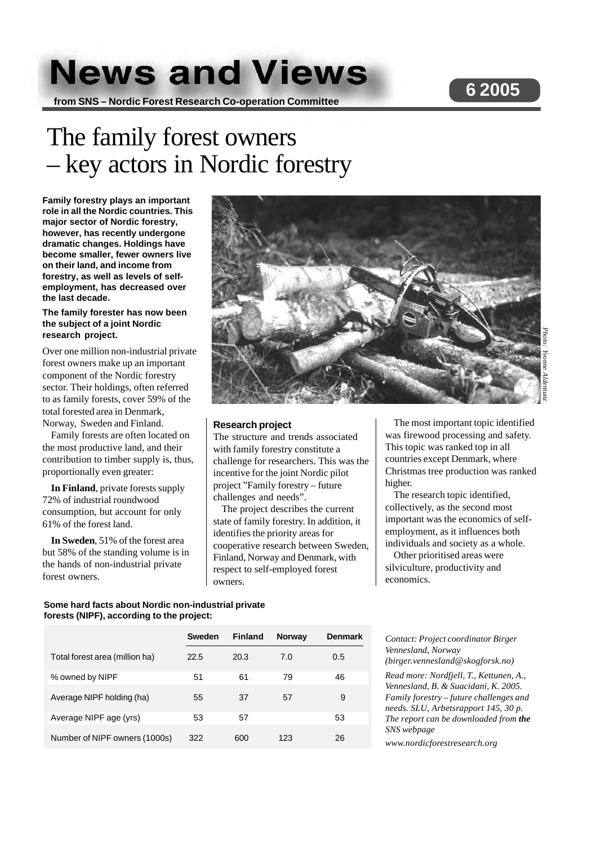# **News and Views**

**from SNS – Nordic Forest Research Co-operation Committee**

# **6 2005**

# The family forest owners – key actors in Nordic forestry

**Family forestry plays an important role in all the Nordic countries. This major sector of Nordic forestry, however, has recently undergone dramatic changes. Holdings have become smaller, fewer owners live on their land, and income from forestry, as well as levels of selfemployment, has decreased over the last decade.**

# **The family forester has now been the subject of a joint Nordic research project.**

Over one million non-industrial private forest owners make up an important component of the Nordic forestry sector. Their holdings, often referred to as family forests, cover 59% of the total forested area in Denmark, Norway, Sweden and Finland.

Family forests are often located on the most productive land, and their contribution to timber supply is, thus, proportionally even greater:

**In Finland**, private forests supply 72% of industrial roundwood consumption, but account for only 61% of the forest land.

**In Sweden**, 51% of the forest area but 58% of the standing volume is in the hands of non-industrial private forest owners.



### **Research project**

The structure and trends associated with family forestry constitute a challenge for researchers. This was the incentive for the joint Nordic pilot project "Family forestry – future challenges and needs".

The project describes the current state of family forestry. In addition, it identifies the priority areas for cooperative research between Sweden, Finland, Norway and Denmark, with respect to self-employed forest owners.

The most important topic identified was firewood processing and safety. This topic was ranked top in all countries except Denmark, where Christmas tree production was ranked higher.

The research topic identified, collectively, as the second most important was the economics of selfemployment, as it influences both individuals and society as a whole.

Other prioritised areas were silviculture, productivity and economics.

# **Some hard facts about Nordic non-industrial private forests (NIPF), according to the project:**

**Sweden Finland Norway Denmark** Total forest area (million ha) 22.5 20.3 7.0 0.5 % owned by NIPF 51 61 79 46 Average NIPF holding (ha) 55 37 57 9 Average NIPF age (yrs) 53 57 53 53 Number of NIPF owners (1000s) 322 600 123 26

*Contact: Project coordinator Birger Vennesland, Norway (birger.vennesland@skogforsk.no)*

*Read more: Nordfjell, T., Kettunen, A., Vennesland, B. & Suacidani, K. 2005. Family forestry – future challenges and needs. SLU, Arbetsrapport 145, 30 p. The report can be downloaded from the SNS webpage*

*www.nordicforestresearch.org*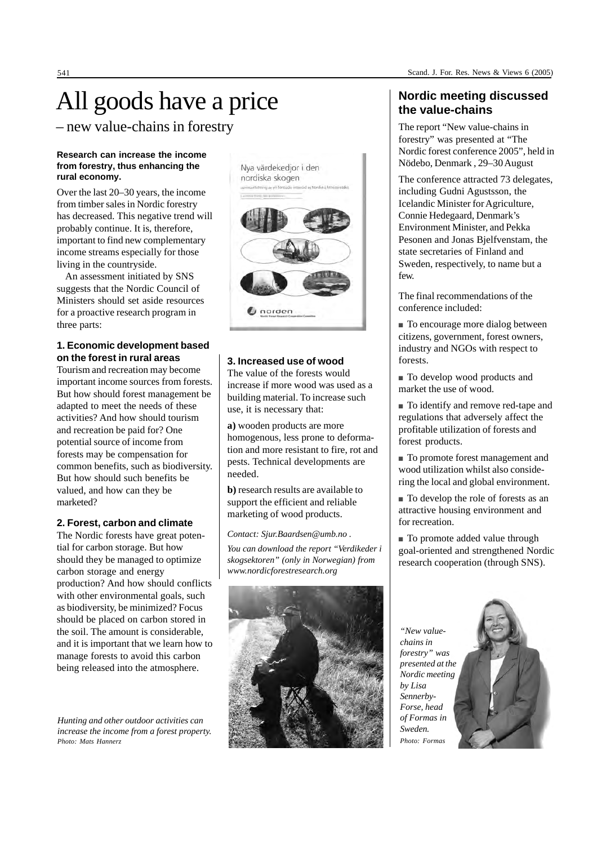# All goods have a price

– new value-chains in forestry

### **Research can increase the income from forestry, thus enhancing the rural economy.**

Over the last 20–30 years, the income from timber sales in Nordic forestry has decreased. This negative trend will probably continue. It is, therefore, important to find new complementary income streams especially for those living in the countryside.

An assessment initiated by SNS suggests that the Nordic Council of Ministers should set aside resources for a proactive research program in three parts:

# **1. Economic development based on the forest in rural areas**

Tourism and recreation may become important income sources from forests. But how should forest management be adapted to meet the needs of these activities? And how should tourism and recreation be paid for? One potential source of income from forests may be compensation for common benefits, such as biodiversity. But how should such benefits be valued, and how can they be marketed?

# **2. Forest, carbon and climate**

The Nordic forests have great potential for carbon storage. But how should they be managed to optimize carbon storage and energy production? And how should conflicts with other environmental goals, such as biodiversity, be minimized? Focus should be placed on carbon stored in the soil. The amount is considerable, and it is important that we learn how to manage forests to avoid this carbon being released into the atmosphere.

*Hunting and other outdoor activities can increase the income from a forest property. Photo: Mats Hannerz*



# **3. Increased use of wood**

The value of the forests would increase if more wood was used as a building material. To increase such use, it is necessary that:

**a)** wooden products are more homogenous, less prone to deformation and more resistant to fire, rot and pests. Technical developments are needed.

**b)** research results are available to support the efficient and reliable marketing of wood products.

*Contact: Sjur.Baardsen@umb.no .*

*You can download the report "Verdikeder i skogsektoren" (only in Norwegian) from www.nordicforestresearch.org*



# **Nordic meeting discussed the value-chains**

The report "New value-chains in forestry" was presented at "The Nordic forest conference 2005", held in Nödebo, Denmark , 29–30 August

The conference attracted 73 delegates, including Gudni Agustsson, the Icelandic Minister for Agriculture, Connie Hedegaard, Denmark's Environment Minister, and Pekka Pesonen and Jonas Bjelfvenstam, the state secretaries of Finland and Sweden, respectively, to name but a few.

The final recommendations of the conference included:

■ To encourage more dialog between citizens, government, forest owners, industry and NGOs with respect to forests.

■ To develop wood products and market the use of wood.

■ To identify and remove red-tape and regulations that adversely affect the profitable utilization of forests and forest products.

■ To promote forest management and wood utilization whilst also considering the local and global environment.

■ To develop the role of forests as an attractive housing environment and for recreation.

■ To promote added value through goal-oriented and strengthened Nordic research cooperation (through SNS).

*"New valuechains in forestry" was presented at the Nordic meeting by Lisa Sennerby-Forse, head of Formas in Sweden. Photo: Formas*

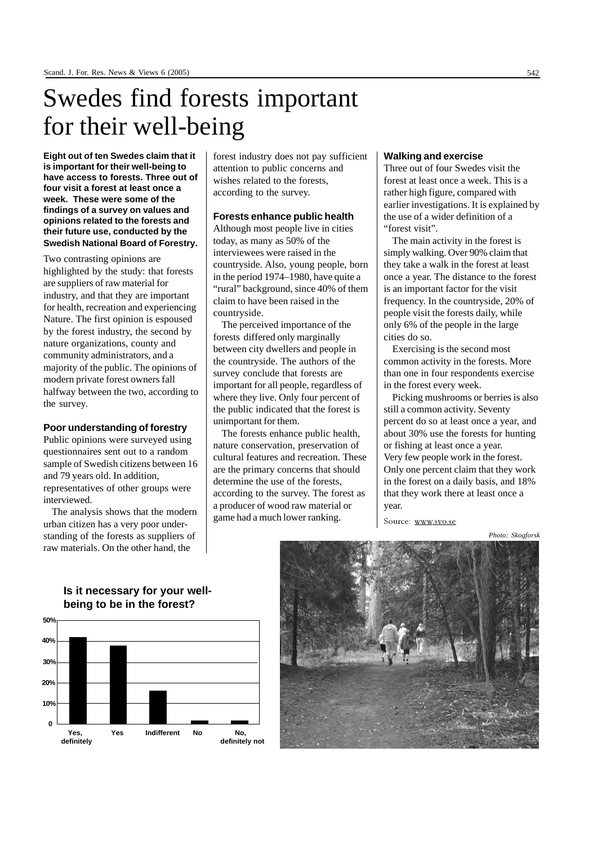# Swedes find forests important for their well-being

**Eight out of ten Swedes claim that it is important for their well-being to have access to forests. Three out of four visit a forest at least once a week. These were some of the findings of a survey on values and opinions related to the forests and their future use, conducted by the Swedish National Board of Forestry.**

Two contrasting opinions are highlighted by the study: that forests are suppliers of raw material for industry, and that they are important for health, recreation and experiencing Nature. The first opinion is espoused by the forest industry, the second by nature organizations, county and community administrators, and a majority of the public. The opinions of modern private forest owners fall halfway between the two, according to the survey.

#### **Poor understanding of forestry**

Public opinions were surveyed using questionnaires sent out to a random sample of Swedish citizens between 16 and 79 years old. In addition, representatives of other groups were interviewed.

The analysis shows that the modern urban citizen has a very poor understanding of the forests as suppliers of raw materials. On the other hand, the

forest industry does not pay sufficient attention to public concerns and wishes related to the forests, according to the survey.

### **Forests enhance public health**

Although most people live in cities today, as many as 50% of the interviewees were raised in the countryside. Also, young people, born in the period 1974–1980, have quite a "rural" background, since 40% of them claim to have been raised in the countryside.

The perceived importance of the forests differed only marginally between city dwellers and people in the countryside. The authors of the survey conclude that forests are important for all people, regardless of where they live. Only four percent of the public indicated that the forest is unimportant for them.

The forests enhance public health, nature conservation, preservation of cultural features and recreation. These are the primary concerns that should determine the use of the forests, according to the survey. The forest as a producer of wood raw material or game had a much lower ranking.

### **Walking and exercise**

Three out of four Swedes visit the forest at least once a week. This is a rather high figure, compared with earlier investigations. It is explained by the use of a wider definition of a "forest visit".

The main activity in the forest is simply walking. Over 90% claim that they take a walk in the forest at least once a year. The distance to the forest is an important factor for the visit frequency. In the countryside, 20% of people visit the forests daily, while only 6% of the people in the large cities do so.

Exercising is the second most common activity in the forests. More than one in four respondents exercise in the forest every week.

Picking mushrooms or berries is also still a common activity. Seventy percent do so at least once a year, and about 30% use the forests for hunting or fishing at least once a year. Very few people work in the forest. Only one percent claim that they work in the forest on a daily basis, and 18% that they work there at least once a year.

Source: www.svo.se

*Photo: Skogforsk*